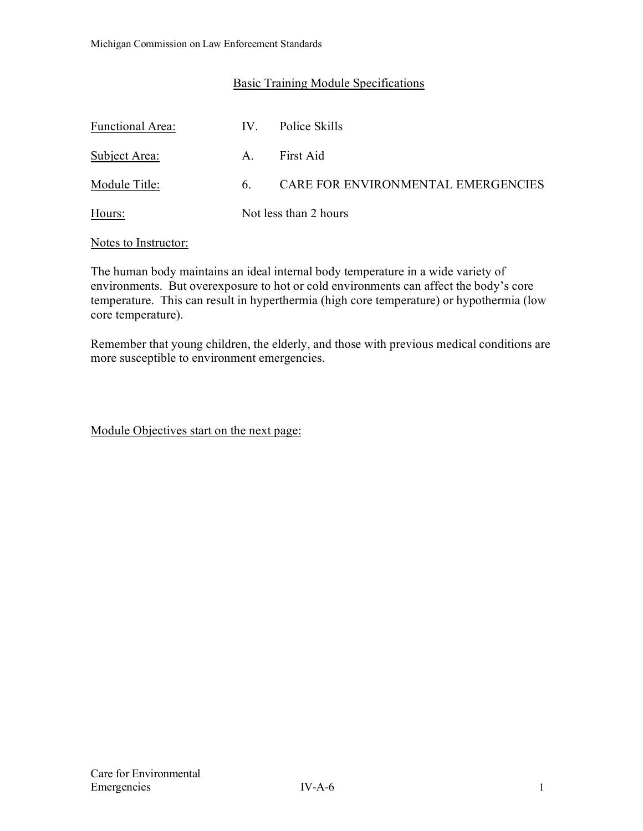## Basic Training Module Specifications

| <b>Functional Area:</b> | IV. | Police Skills                      |
|-------------------------|-----|------------------------------------|
| Subject Area:           | A.  | First Aid                          |
| Module Title:           | 6.  | CARE FOR ENVIRONMENTAL EMERGENCIES |
| Hours:                  |     | Not less than 2 hours              |

#### Notes to Instructor:

The human body maintains an ideal internal body temperature in a wide variety of environments. But overexposure to hot or cold environments can affect the body's core temperature. This can result in hyperthermia (high core temperature) or hypothermia (low core temperature).

Remember that young children, the elderly, and those with previous medical conditions are more susceptible to environment emergencies.

Module Objectives start on the next page: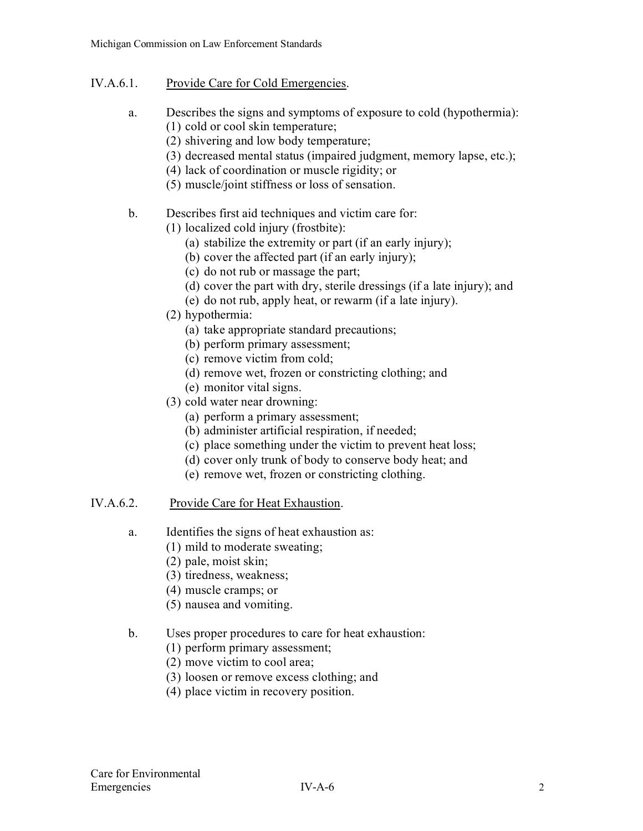## IV.A.6.1. Provide Care for Cold Emergencies.

- a. Describes the signs and symptoms of exposure to cold (hypothermia): (1) cold or cool skin temperature;
	- (2) shivering and low body temperature;
	- (3) decreased mental status (impaired judgment, memory lapse, etc.);
	- (4) lack of coordination or muscle rigidity; or
	- (5) muscle/joint stiffness or loss of sensation.
- b. Describes first aid techniques and victim care for:
	- (1) localized cold injury (frostbite):
		- (a) stabilize the extremity or part (if an early injury);
		- (b) cover the affected part (if an early injury);
		- (c) do not rub or massage the part;
		- (d) cover the part with dry, sterile dressings (if a late injury); and
		- (e) do not rub, apply heat, or rewarm (if a late injury).
	- (2) hypothermia:
		- (a) take appropriate standard precautions;
		- (b) perform primary assessment;
		- (c) remove victim from cold;
		- (d) remove wet, frozen or constricting clothing; and
		- (e) monitor vital signs.
	- (3) cold water near drowning:
		- (a) perform a primary assessment;
		- (b) administer artificial respiration, if needed;
		- (c) place something under the victim to prevent heat loss;
		- (d) cover only trunk of body to conserve body heat; and
		- (e) remove wet, frozen or constricting clothing.
- IV.A.6.2. Provide Care for Heat Exhaustion.
	- a. Identifies the signs of heat exhaustion as:
		- (1) mild to moderate sweating;
		- (2) pale, moist skin;
		- (3) tiredness, weakness;
		- (4) muscle cramps; or
		- (5) nausea and vomiting.
	- b. Uses proper procedures to care for heat exhaustion:
		- (1) perform primary assessment;
		- (2) move victim to cool area;
		- (3) loosen or remove excess clothing; and
		- (4) place victim in recovery position.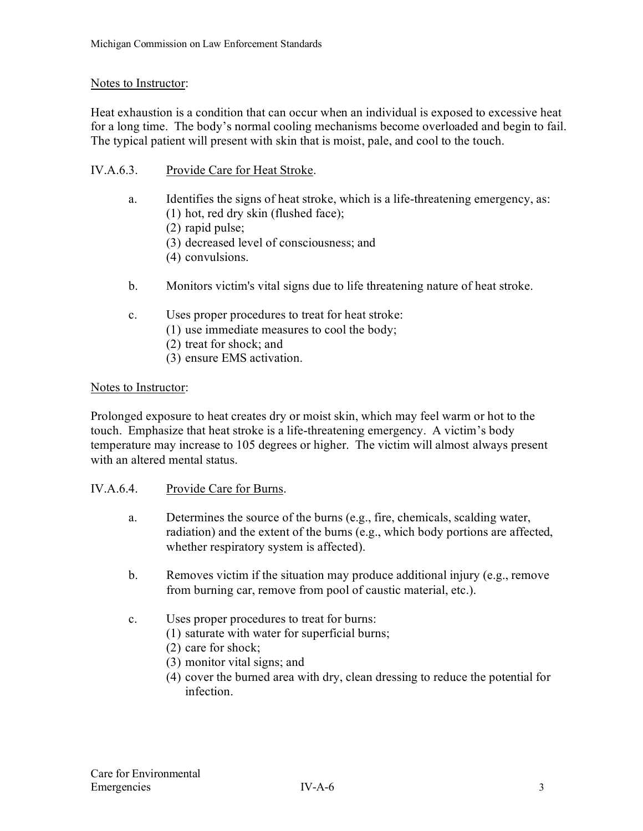#### Notes to Instructor:

Heat exhaustion is a condition that can occur when an individual is exposed to excessive heat for a long time. The body's normal cooling mechanisms become overloaded and begin to fail. The typical patient will present with skin that is moist, pale, and cool to the touch.

- IV.A.6.3. Provide Care for Heat Stroke.
	- a. Identifies the signs of heat stroke, which is a life-threatening emergency, as: (1) hot, red dry skin (flushed face);
		- (2) rapid pulse;
		- (3) decreased level of consciousness; and
		- (4) convulsions.
	- b. Monitors victim's vital signs due to life threatening nature of heat stroke.
	- c. Uses proper procedures to treat for heat stroke:
		- (1) use immediate measures to cool the body;
		- (2) treat for shock; and
		- (3) ensure EMS activation.

#### Notes to Instructor:

Prolonged exposure to heat creates dry or moist skin, which may feel warm or hot to the touch. Emphasize that heat stroke is a life-threatening emergency. A victim's body temperature may increase to 105 degrees or higher. The victim will almost always present with an altered mental status.

#### IV.A.6.4. Provide Care for Burns.

- a. Determines the source of the burns (e.g., fire, chemicals, scalding water, radiation) and the extent of the burns (e.g., which body portions are affected, whether respiratory system is affected).
- b. Removes victim if the situation may produce additional injury (e.g., remove from burning car, remove from pool of caustic material, etc.).
- c. Uses proper procedures to treat for burns:
	- (1) saturate with water for superficial burns;
	- (2) care for shock;
	- (3) monitor vital signs; and
	- (4) cover the burned area with dry, clean dressing to reduce the potential for infection.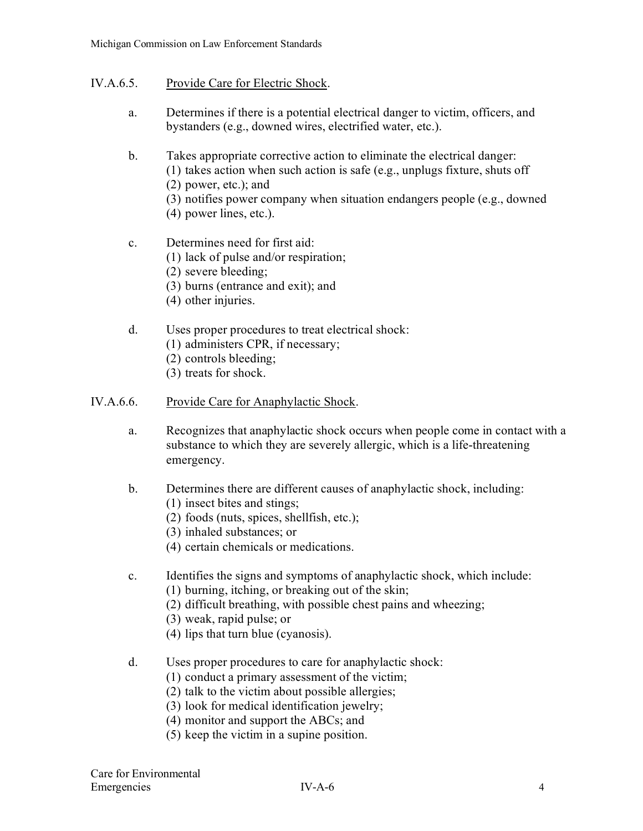### IV.A.6.5. Provide Care for Electric Shock.

- a. Determines if there is a potential electrical danger to victim, officers, and bystanders (e.g., downed wires, electrified water, etc.).
- b. Takes appropriate corrective action to eliminate the electrical danger: (1) takes action when such action is safe (e.g., unplugs fixture, shuts off (2) power, etc.); and (3) notifies power company when situation endangers people (e.g., downed
	- (4) power lines, etc.).
- c. Determines need for first aid:
	- (1) lack of pulse and/or respiration;
	- (2) severe bleeding;
	- (3) burns (entrance and exit); and
	- (4) other injuries.
- d. Uses proper procedures to treat electrical shock:
	- (1) administers CPR, if necessary;
	- (2) controls bleeding;
	- (3) treats for shock.

#### IV.A.6.6. Provide Care for Anaphylactic Shock.

- a. Recognizes that anaphylactic shock occurs when people come in contact with a substance to which they are severely allergic, which is a life-threatening emergency.
- b. Determines there are different causes of anaphylactic shock, including:
	- (1) insect bites and stings;
	- (2) foods (nuts, spices, shellfish, etc.);
	- (3) inhaled substances; or
	- (4) certain chemicals or medications.
- c. Identifies the signs and symptoms of anaphylactic shock, which include:
	- (1) burning, itching, or breaking out of the skin;
	- (2) difficult breathing, with possible chest pains and wheezing;
	- (3) weak, rapid pulse; or
	- (4) lips that turn blue (cyanosis).
- d. Uses proper procedures to care for anaphylactic shock:
	- (1) conduct a primary assessment of the victim;
	- (2) talk to the victim about possible allergies;
	- (3) look for medical identification jewelry;
	- (4) monitor and support the ABCs; and
	- (5) keep the victim in a supine position.